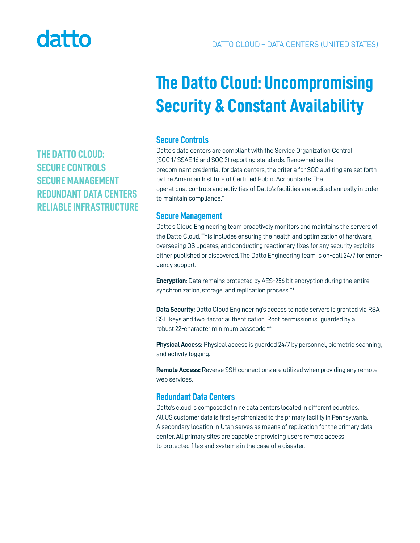# datto

## **The Datto Cloud: Uncompromising Security & Constant Availability**

#### **Secure Controls**

Datto's data centers are compliant with the Service Organization Control (SOC 1/ SSAE 16 and SOC 2) reporting standards. Renowned as the predominant credential for data centers, the criteria for SOC auditing are set forth by the American Institute of Certified Public Accountants. The operational controls and activities of Datto's facilities are audited annually in order to maintain compliance.\*

#### **Secure Management**

Datto's Cloud Engineering team proactively monitors and maintains the servers of the Datto Cloud. This includes ensuring the health and optimization of hardware, overseeing OS updates, and conducting reactionary fixes for any security exploits either published or discovered. The Datto Engineering team is on-call 24/7 for emergency support.

**Encryption**: Data remains protected by AES-256 bit encryption during the entire synchronization, storage, and replication process \*\*

**Data Security:** Datto Cloud Engineering's access to node servers is granted via RSA SSH keys and two-factor authentication. Root permission is guarded by a robust 22-character minimum passcode.\*\*

**Physical Access:** Physical access is guarded 24/7 by personnel, biometric scanning, and activity logging.

**Remote Access:** Reverse SSH connections are utilized when providing any remote web services.

### **Redundant Data Centers**

Datto's cloud is composed of nine data centers located in different countries. All US customer data is first synchronized to the primary facility in Pennsylvania. A secondary location in Utah serves as means of replication for the primary data center. All primary sites are capable of providing users remote access to protected files and systems in the case of a disaster.

**THE DATTO CLOUD: SECURE CONTROLS SECURE MANAGEMENT REDUNDANT DATA CENTERS RELIABLE INFRASTRUCTURE**